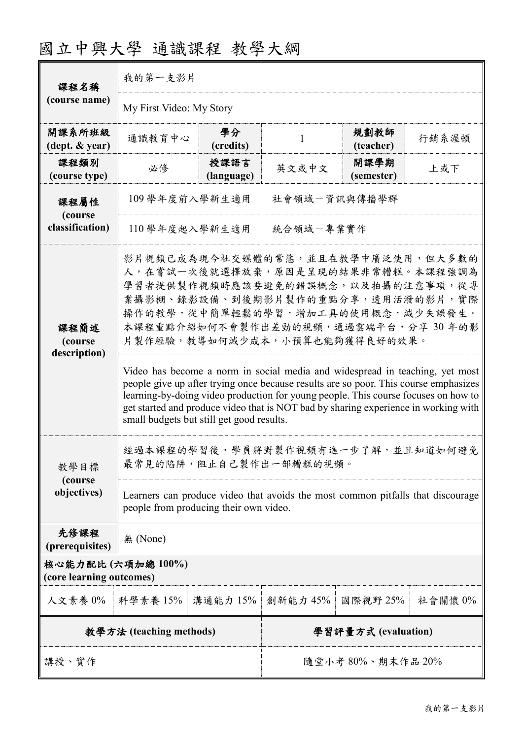| 課程名稱<br>(course name)                        | 我的第一支影片                                                                                                                                                                                                                                                                                                                                                                                                                                                                                                                                                                                                                                                               |                            |                     |                    |         |  |  |
|----------------------------------------------|-----------------------------------------------------------------------------------------------------------------------------------------------------------------------------------------------------------------------------------------------------------------------------------------------------------------------------------------------------------------------------------------------------------------------------------------------------------------------------------------------------------------------------------------------------------------------------------------------------------------------------------------------------------------------|----------------------------|---------------------|--------------------|---------|--|--|
|                                              | My First Video: My Story                                                                                                                                                                                                                                                                                                                                                                                                                                                                                                                                                                                                                                              |                            |                     |                    |         |  |  |
| 開課系所班級<br>(dept. & year)                     | 通識教育中心                                                                                                                                                                                                                                                                                                                                                                                                                                                                                                                                                                                                                                                                | 學分<br>(credits)            | 1                   | 規劃教師<br>(teacher)  | 行銷系渥頓   |  |  |
| 課程類別<br>(course type)                        | 必修                                                                                                                                                                                                                                                                                                                                                                                                                                                                                                                                                                                                                                                                    | 授課語言<br>(language)         | 英文或中文               | 開課學期<br>(semester) | 上或下     |  |  |
| 課程屬性                                         | 社會領域一資訊與傳播學群<br>109 學年度前入學新生適用                                                                                                                                                                                                                                                                                                                                                                                                                                                                                                                                                                                                                                        |                            |                     |                    |         |  |  |
| (course<br>classification)                   |                                                                                                                                                                                                                                                                                                                                                                                                                                                                                                                                                                                                                                                                       | 統合領域一專業實作<br>110學年度起入學新生適用 |                     |                    |         |  |  |
| 課程簡述<br>(course<br>description)              | 影片視頻已成為現今社交媒體的常態,並且在教學中廣泛使用,但大多數的<br>人,在嘗試一次後就選擇放棄,原因是呈現的結果非常糟糕。本課程強調為<br>學習者提供製作視頻時應該要避免的錯誤概念,以及拍攝的注意事項,從專<br>業攝影棚、錄影設備、到後期影片製作的重點分享,透用活潑的影片,實際<br><b>操作的教學,從中簡單輕鬆的學習,增加工具的使用概念,減少失誤發生。</b><br>本課程重點介紹如何不會製作出差勁的視頻,通過雲端平台,分享30年的影<br>片製作經驗,教導如何減少成本,小預算也能夠獲得良好的效果。<br>Video has become a norm in social media and widespread in teaching, yet most<br>people give up after trying once because results are so poor. This course emphasizes<br>learning-by-doing video production for young people. This course focuses on how to<br>get started and produce video that is NOT bad by sharing experience in working with<br>small budgets but still get good results. |                            |                     |                    |         |  |  |
| 教學目標                                         | 經過本課程的學習後,學員將對製作視頻有進一步了解,並且知道如何避免<br>最常見的陷阱,阻止自己製作出一部糟糕的視頻。                                                                                                                                                                                                                                                                                                                                                                                                                                                                                                                                                                                                           |                            |                     |                    |         |  |  |
| (course<br>objectives)                       | Learners can produce video that avoids the most common pitfalls that discourage<br>people from producing their own video.                                                                                                                                                                                                                                                                                                                                                                                                                                                                                                                                             |                            |                     |                    |         |  |  |
| 先修課程<br>(prerequisites)                      | 無 (None)                                                                                                                                                                                                                                                                                                                                                                                                                                                                                                                                                                                                                                                              |                            |                     |                    |         |  |  |
| 核心能力配比(六項加總100%)<br>(core learning outcomes) |                                                                                                                                                                                                                                                                                                                                                                                                                                                                                                                                                                                                                                                                       |                            |                     |                    |         |  |  |
| 人文素養 0%                                      | 科學素養 15%                                                                                                                                                                                                                                                                                                                                                                                                                                                                                                                                                                                                                                                              | 溝通能力 15%                   | 創新能力 45%            | 國際視野 25%           | 社會關懷 0% |  |  |
| 教學方法 (teaching methods)                      |                                                                                                                                                                                                                                                                                                                                                                                                                                                                                                                                                                                                                                                                       |                            | 學習評量方式 (evaluation) |                    |         |  |  |
| 講授、實作                                        |                                                                                                                                                                                                                                                                                                                                                                                                                                                                                                                                                                                                                                                                       |                            | 隨堂小考80%、期末作品20%     |                    |         |  |  |

# 國立中興大學 通識課程 教學大綱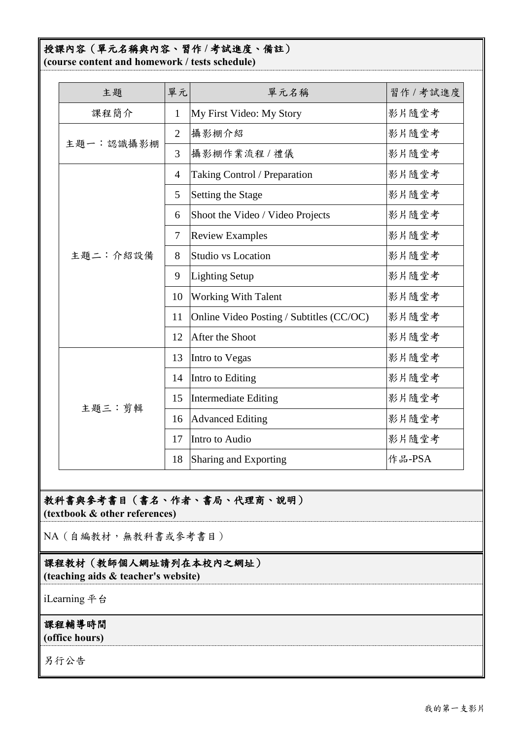#### 授課內容(單元名稱與內容、習作 **/** 考試進度、備註) **(course content and homework / tests schedule)**

| 主題        | 單元             | 單元名稱                                     | 習作 / 考試進度 |
|-----------|----------------|------------------------------------------|-----------|
| 課程簡介      | $\mathbf{1}$   | My First Video: My Story                 | 影片隨堂考     |
| 主題一:認識攝影棚 | $\overline{2}$ | 攝影棚介紹                                    | 影片隨堂考     |
|           | 3              | 攝影棚作業流程 / 禮儀                             | 影片隨堂考     |
|           | $\overline{4}$ | Taking Control / Preparation             | 影片隨堂考     |
|           | 5              | Setting the Stage                        | 影片隨堂考     |
|           | 6              | Shoot the Video / Video Projects         | 影片隨堂考     |
|           | $\tau$         | <b>Review Examples</b>                   | 影片隨堂考     |
| 主題二:介紹設備  | 8              | <b>Studio vs Location</b>                | 影片隨堂考     |
|           | 9              | <b>Lighting Setup</b>                    | 影片隨堂考     |
|           | 10             | <b>Working With Talent</b>               | 影片隨堂考     |
|           | 11             | Online Video Posting / Subtitles (CC/OC) | 影片隨堂考     |
|           | 12             | After the Shoot                          | 影片隨堂考     |
|           | 13             | Intro to Vegas                           | 影片隨堂考     |
|           | 14             | Intro to Editing                         | 影片隨堂考     |
| 主題三:剪輯    | 15             | <b>Intermediate Editing</b>              | 影片隨堂考     |
|           | 16             | <b>Advanced Editing</b>                  | 影片隨堂考     |
|           | 17             | Intro to Audio                           | 影片隨堂考     |
|           | 18             | Sharing and Exporting                    | 作品-PSA    |

### 教科書與參考書目(書名、作者、書局、代理商、說明) **(textbook & other references)**

NA(自編教材,無教科書或參考書目)

## 課程教材(教師個人網址請列在本校內之網址)

**(teaching aids & teacher's website)**

iLearning 平台

### 課程輔導時間

**(office hours)**

另行公告